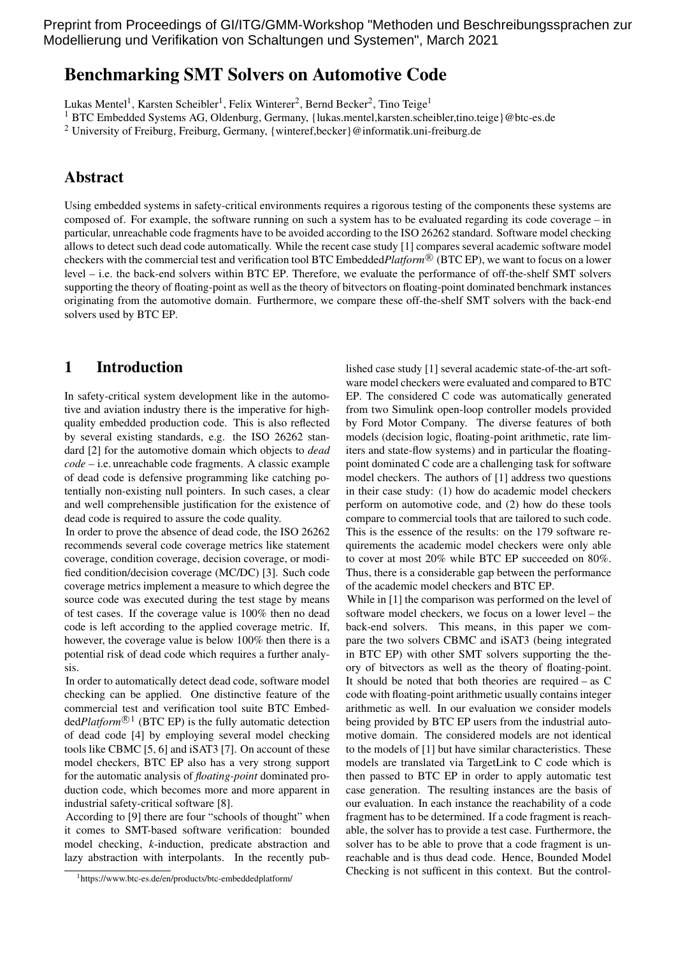Preprint from Proceedings of GI/ITG/GMM-Workshop "Methoden und Beschreibungssprachen zur Modellierung und Verifikation von Schaltungen und Systemen", March 2021

# Benchmarking SMT Solvers on Automotive Code

Lukas Mentel<sup>1</sup>, Karsten Scheibler<sup>1</sup>, Felix Winterer<sup>2</sup>, Bernd Becker<sup>2</sup>, Tino Teige<sup>1</sup>

<sup>1</sup> BTC Embedded Systems AG, Oldenburg, Germany, {lukas.mentel,karsten.scheibler,tino.teige}@btc-es.de

<sup>2</sup> University of Freiburg, Freiburg, Germany, {winteref,becker}@informatik.uni-freiburg.de

# Abstract

Using embedded systems in safety-critical environments requires a rigorous testing of the components these systems are composed of. For example, the software running on such a system has to be evaluated regarding its code coverage – in particular, unreachable code fragments have to be avoided according to the ISO 26262 standard. Software model checking allows to detect such dead code automatically. While the recent case study [1] compares several academic software model checkers with the commercial test and verification tool BTC Embedded*Platform*<sup>®</sup> (BTC EP), we want to focus on a lower level – i.e. the back-end solvers within BTC EP. Therefore, we evaluate the performance of off-the-shelf SMT solvers supporting the theory of floating-point as well as the theory of bitvectors on floating-point dominated benchmark instances originating from the automotive domain. Furthermore, we compare these off-the-shelf SMT solvers with the back-end solvers used by BTC EP.

# 1 Introduction

In safety-critical system development like in the automotive and aviation industry there is the imperative for highquality embedded production code. This is also reflected by several existing standards, e.g. the ISO 26262 standard [2] for the automotive domain which objects to *dead code* – i.e. unreachable code fragments. A classic example of dead code is defensive programming like catching potentially non-existing null pointers. In such cases, a clear and well comprehensible justification for the existence of dead code is required to assure the code quality.

In order to prove the absence of dead code, the ISO 26262 recommends several code coverage metrics like statement coverage, condition coverage, decision coverage, or modified condition/decision coverage (MC/DC) [3]. Such code coverage metrics implement a measure to which degree the source code was executed during the test stage by means of test cases. If the coverage value is 100% then no dead code is left according to the applied coverage metric. If, however, the coverage value is below 100% then there is a potential risk of dead code which requires a further analysis.

In order to automatically detect dead code, software model checking can be applied. One distinctive feature of the commercial test and verification tool suite BTC Embed $dedPlatform<sup>®1</sup>$  (BTC EP) is the fully automatic detection of dead code [4] by employing several model checking tools like CBMC [5, 6] and iSAT3 [7]. On account of these model checkers, BTC EP also has a very strong support for the automatic analysis of *floating-point* dominated production code, which becomes more and more apparent in industrial safety-critical software [8].

According to [9] there are four "schools of thought" when it comes to SMT-based software verification: bounded model checking, *k*-induction, predicate abstraction and lazy abstraction with interpolants. In the recently published case study [1] several academic state-of-the-art software model checkers were evaluated and compared to BTC EP. The considered C code was automatically generated from two Simulink open-loop controller models provided by Ford Motor Company. The diverse features of both models (decision logic, floating-point arithmetic, rate limiters and state-flow systems) and in particular the floatingpoint dominated C code are a challenging task for software model checkers. The authors of [1] address two questions in their case study: (1) how do academic model checkers perform on automotive code, and (2) how do these tools compare to commercial tools that are tailored to such code. This is the essence of the results: on the 179 software requirements the academic model checkers were only able to cover at most 20% while BTC EP succeeded on 80%. Thus, there is a considerable gap between the performance of the academic model checkers and BTC EP.

While in [1] the comparison was performed on the level of software model checkers, we focus on a lower level – the back-end solvers. This means, in this paper we compare the two solvers CBMC and iSAT3 (being integrated in BTC EP) with other SMT solvers supporting the theory of bitvectors as well as the theory of floating-point. It should be noted that both theories are required – as C code with floating-point arithmetic usually contains integer arithmetic as well. In our evaluation we consider models being provided by BTC EP users from the industrial automotive domain. The considered models are not identical to the models of [1] but have similar characteristics. These models are translated via TargetLink to C code which is then passed to BTC EP in order to apply automatic test case generation. The resulting instances are the basis of our evaluation. In each instance the reachability of a code fragment has to be determined. If a code fragment is reachable, the solver has to provide a test case. Furthermore, the solver has to be able to prove that a code fragment is unreachable and is thus dead code. Hence, Bounded Model Checking is not sufficent in this context. But the control-

<sup>1</sup>https://www.btc-es.de/en/products/btc-embeddedplatform/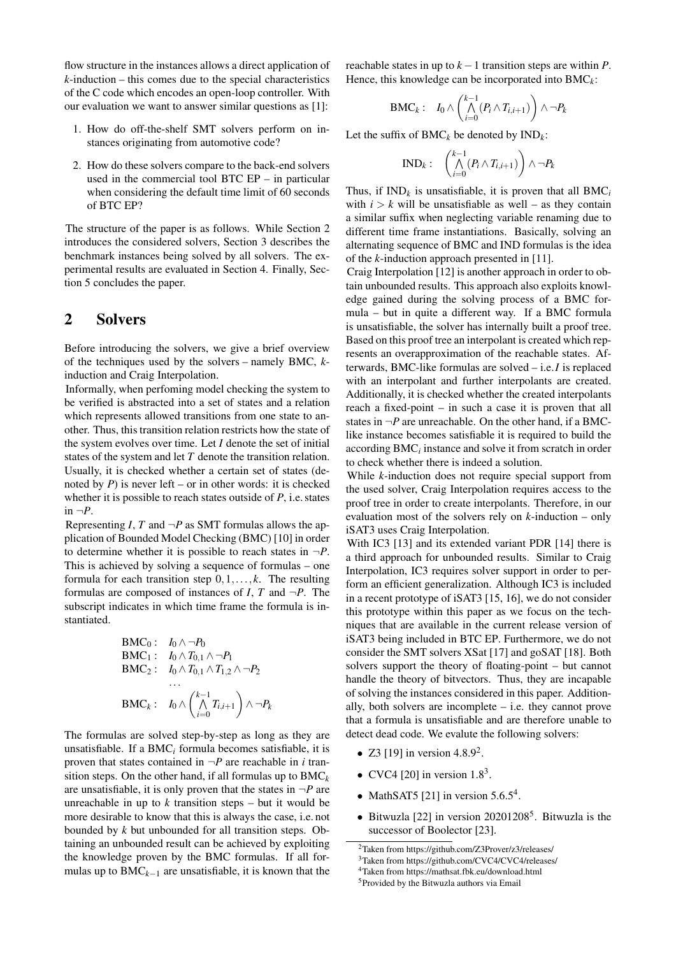flow structure in the instances allows a direct application of *k*-induction – this comes due to the special characteristics of the C code which encodes an open-loop controller. With our evaluation we want to answer similar questions as [1]:

- 1. How do off-the-shelf SMT solvers perform on instances originating from automotive code?
- 2. How do these solvers compare to the back-end solvers used in the commercial tool BTC EP – in particular when considering the default time limit of 60 seconds of BTC EP?

The structure of the paper is as follows. While Section 2 introduces the considered solvers, Section 3 describes the benchmark instances being solved by all solvers. The experimental results are evaluated in Section 4. Finally, Section 5 concludes the paper.

# 2 Solvers

Before introducing the solvers, we give a brief overview of the techniques used by the solvers – namely BMC, *k*induction and Craig Interpolation.

Informally, when perfoming model checking the system to be verified is abstracted into a set of states and a relation which represents allowed transitions from one state to another. Thus, this transition relation restricts how the state of the system evolves over time. Let *I* denote the set of initial states of the system and let *T* denote the transition relation. Usually, it is checked whether a certain set of states (denoted by *P*) is never left – or in other words: it is checked whether it is possible to reach states outside of *P*, i.e. states in  $\neg P$ .

Representing *I*, *T* and  $\neg P$  as SMT formulas allows the application of Bounded Model Checking (BMC) [10] in order to determine whether it is possible to reach states in  $\neg P$ . This is achieved by solving a sequence of formulas – one formula for each transition step  $0,1,\ldots,k$ . The resulting formulas are composed of instances of *I*, *T* and  $\neg P$ . The subscript indicates in which time frame the formula is instantiated.

\n
$$
\text{BMC}_0: I_0 \wedge \neg P_0
$$
\n

\n\n $\text{BMC}_1: I_0 \wedge T_{0,1} \wedge \neg P_1$ \n

\n\n $\text{BMC}_2: I_0 \wedge T_{0,1} \wedge T_{1,2} \wedge \neg P_2$ \n

\n\n $\cdots$ \n

\n\n $\text{BMC}_k: I_0 \wedge \left( \bigwedge_{i=0}^{k-1} T_{i,i+1} \right) \wedge \neg P_k$ \n

The formulas are solved step-by-step as long as they are unsatisfiable. If a BMC*<sup>i</sup>* formula becomes satisfiable, it is proven that states contained in  $\neg P$  are reachable in *i* transition steps. On the other hand, if all formulas up to  $BMC_k$ are unsatisfiable, it is only proven that the states in  $\neg P$  are unreachable in up to  $k$  transition steps – but it would be more desirable to know that this is always the case, i.e. not bounded by *k* but unbounded for all transition steps. Obtaining an unbounded result can be achieved by exploiting the knowledge proven by the BMC formulas. If all formulas up to  $BMC_{k-1}$  are unsatisfiable, it is known that the reachable states in up to *k*−1 transition steps are within *P*. Hence, this knowledge can be incorporated into BMC*k*:

$$
{\rm BMC}_k: \quad I_0\wedge\left(\bigwedge_{i=0}^{k-1}(P_i\wedge T_{i,i+1})\right)\wedge \neg P_k
$$

Let the suffix of  $BMC_k$  be denoted by  $IND_k$ :

$$
\text{IND}_k: \quad \left(\bigwedge_{i=0}^{k-1} (P_i \wedge T_{i,i+1})\right) \wedge \neg P_k
$$

Thus, if  $IND_k$  is unsatisfiable, it is proven that all  $BMC_i$ with  $i > k$  will be unsatisfiable as well – as they contain a similar suffix when neglecting variable renaming due to different time frame instantiations. Basically, solving an alternating sequence of BMC and IND formulas is the idea of the *k*-induction approach presented in [11].

Craig Interpolation [12] is another approach in order to obtain unbounded results. This approach also exploits knowledge gained during the solving process of a BMC formula – but in quite a different way. If a BMC formula is unsatisfiable, the solver has internally built a proof tree. Based on this proof tree an interpolant is created which represents an overapproximation of the reachable states. Afterwards, BMC-like formulas are solved – i.e.*I* is replaced with an interpolant and further interpolants are created. Additionally, it is checked whether the created interpolants reach a fixed-point – in such a case it is proven that all states in  $\neg P$  are unreachable. On the other hand, if a BMClike instance becomes satisfiable it is required to build the according BMC*<sup>i</sup>* instance and solve it from scratch in order to check whether there is indeed a solution.

While *k*-induction does not require special support from the used solver, Craig Interpolation requires access to the proof tree in order to create interpolants. Therefore, in our evaluation most of the solvers rely on *k*-induction – only iSAT3 uses Craig Interpolation.

With IC3 [13] and its extended variant PDR [14] there is a third approach for unbounded results. Similar to Craig Interpolation, IC3 requires solver support in order to perform an efficient generalization. Although IC3 is included in a recent prototype of iSAT3 [15, 16], we do not consider this prototype within this paper as we focus on the techniques that are available in the current release version of iSAT3 being included in BTC EP. Furthermore, we do not consider the SMT solvers XSat [17] and goSAT [18]. Both solvers support the theory of floating-point – but cannot handle the theory of bitvectors. Thus, they are incapable of solving the instances considered in this paper. Additionally, both solvers are incomplete – i.e. they cannot prove that a formula is unsatisfiable and are therefore unable to detect dead code. We evalute the following solvers:

- Z3 [19] in version  $4.8.9^2$ .
- CVC4 [20] in version  $1.8<sup>3</sup>$ .
- MathSAT5 [21] in version  $5.6.5<sup>4</sup>$ .
- Bitwuzla [22] in version  $20201208^5$ . Bitwuzla is the successor of Boolector [23].

<sup>2</sup>Taken from https://github.com/Z3Prover/z3/releases/

<sup>3</sup>Taken from https://github.com/CVC4/CVC4/releases/

<sup>4</sup>Taken from https://mathsat.fbk.eu/download.html

<sup>5</sup>Provided by the Bitwuzla authors via Email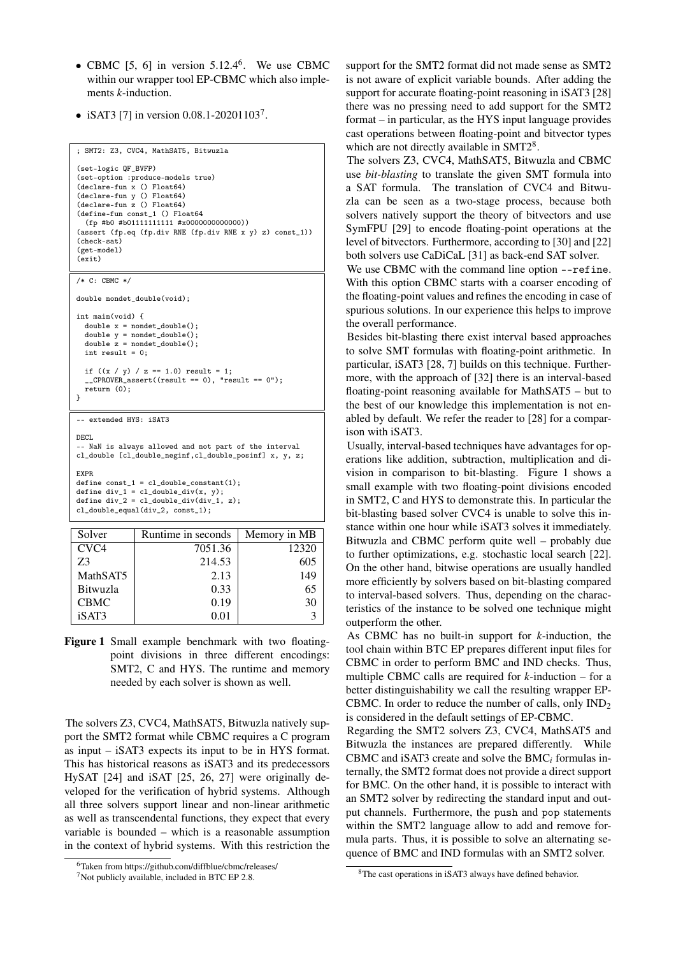- CBMC [5, 6] in version  $5.12.4^6$ . We use CBMC within our wrapper tool EP-CBMC which also implements *k*-induction.
- iSAT3 [7] in version  $0.08.1 20201103^7$ .

```
; SMT2: Z3, CVC4, MathSAT5, Bitwuzla
(set-logic QF_BVFP)
(set-option :produce-models true)
(declare-fun x () Float64)
(declare-fun y () Float64)
(declare-fun z () Float64)
(define-fun const_1 () Float64
  (fp #b0 #b01111111111 #x0000000000000))
(assert (fp.eq (fp.div RNE (fp.div RNE x y) z) const_1))
(check-sat)
(get-model)
(syst)/* C: CBMC */
double nondet_double(void);
int main(void) {
  double x = nondet_double();
  double y = nondet_double();double z = nondet_double();int result = 0;
  if ((x / y) / z == 1.0) result = 1;
__CPROVER_assert((result == 0), "result == 0");
  return (0);
}
   extended HYS: iSAT3
DECL
  - NaN is always allowed and not part of the interval
cl_double [cl_double_neginf,cl_double_posinf] x, y, z;
EXPR
```

```
define const_1 = c1 double constant(1):
define div_1 = cl_double_div(x, y);
define div_2 = cl_double_div(div_1, z);
cl_double_equal(div_2, const_1);
```

| Solver           | Runtime in seconds | Memory in MB |
|------------------|--------------------|--------------|
| CVC <sub>4</sub> | 7051.36            | 12320        |
| 73               | 214.53             | 605          |
| MathSAT5         | 2.13               | 149          |
| <b>Bitwuzla</b>  | 0.33               | 65           |
| <b>CBMC</b>      | 0.19               | 30           |
| iSAT3            | 0.01               |              |

Figure 1 Small example benchmark with two floatingpoint divisions in three different encodings: SMT2, C and HYS. The runtime and memory needed by each solver is shown as well.

The solvers Z3, CVC4, MathSAT5, Bitwuzla natively support the SMT2 format while CBMC requires a C program as input – iSAT3 expects its input to be in HYS format. This has historical reasons as iSAT3 and its predecessors HySAT [24] and iSAT [25, 26, 27] were originally developed for the verification of hybrid systems. Although all three solvers support linear and non-linear arithmetic as well as transcendental functions, they expect that every variable is bounded – which is a reasonable assumption in the context of hybrid systems. With this restriction the

support for the SMT2 format did not made sense as SMT2 is not aware of explicit variable bounds. After adding the support for accurate floating-point reasoning in iSAT3 [28] there was no pressing need to add support for the SMT2 format – in particular, as the HYS input language provides cast operations between floating-point and bitvector types which are not directly available in SMT2<sup>8</sup>.

The solvers Z3, CVC4, MathSAT5, Bitwuzla and CBMC use *bit-blasting* to translate the given SMT formula into a SAT formula. The translation of CVC4 and Bitwuzla can be seen as a two-stage process, because both solvers natively support the theory of bitvectors and use SymFPU [29] to encode floating-point operations at the level of bitvectors. Furthermore, according to [30] and [22] both solvers use CaDiCaL [31] as back-end SAT solver.

We use CBMC with the command line option --refine. With this option CBMC starts with a coarser encoding of the floating-point values and refines the encoding in case of spurious solutions. In our experience this helps to improve the overall performance.

Besides bit-blasting there exist interval based approaches to solve SMT formulas with floating-point arithmetic. In particular, iSAT3 [28, 7] builds on this technique. Furthermore, with the approach of [32] there is an interval-based floating-point reasoning available for MathSAT5 – but to the best of our knowledge this implementation is not enabled by default. We refer the reader to [28] for a comparison with iSAT3.

Usually, interval-based techniques have advantages for operations like addition, subtraction, multiplication and division in comparison to bit-blasting. Figure 1 shows a small example with two floating-point divisions encoded in SMT2, C and HYS to demonstrate this. In particular the bit-blasting based solver CVC4 is unable to solve this instance within one hour while iSAT3 solves it immediately. Bitwuzla and CBMC perform quite well – probably due to further optimizations, e.g. stochastic local search [22]. On the other hand, bitwise operations are usually handled more efficiently by solvers based on bit-blasting compared to interval-based solvers. Thus, depending on the characteristics of the instance to be solved one technique might outperform the other.

As CBMC has no built-in support for *k*-induction, the tool chain within BTC EP prepares different input files for CBMC in order to perform BMC and IND checks. Thus, multiple CBMC calls are required for *k*-induction – for a better distinguishability we call the resulting wrapper EP-CBMC. In order to reduce the number of calls, only  $IND<sub>2</sub>$ is considered in the default settings of EP-CBMC.

Regarding the SMT2 solvers Z3, CVC4, MathSAT5 and Bitwuzla the instances are prepared differently. While CBMC and iSAT3 create and solve the BMC*<sup>i</sup>* formulas internally, the SMT2 format does not provide a direct support for BMC. On the other hand, it is possible to interact with an SMT2 solver by redirecting the standard input and output channels. Furthermore, the push and pop statements within the SMT2 language allow to add and remove formula parts. Thus, it is possible to solve an alternating sequence of BMC and IND formulas with an SMT2 solver.

<sup>6</sup>Taken from https://github.com/diffblue/cbmc/releases/

<sup>7</sup>Not publicly available, included in BTC EP 2.8.

<sup>8</sup>The cast operations in iSAT3 always have defined behavior.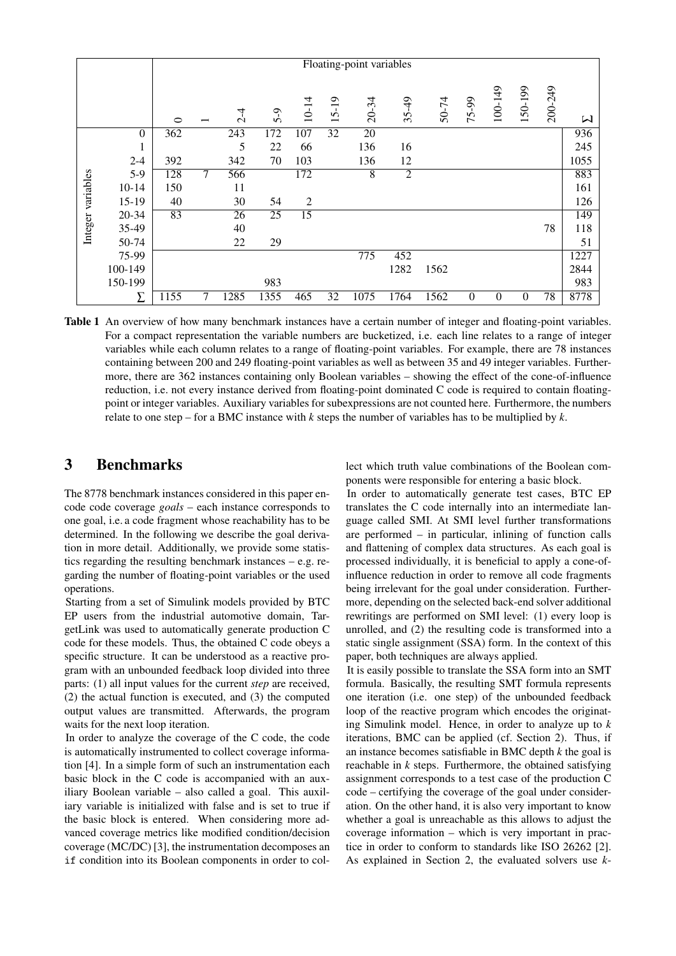|                   |                  | Floating-point variables |   |                 |                 |                 |       |                |                |       |                |          |                  |         |              |
|-------------------|------------------|--------------------------|---|-----------------|-----------------|-----------------|-------|----------------|----------------|-------|----------------|----------|------------------|---------|--------------|
|                   |                  | $\circ$                  |   | $2-4$           | $5 - 9$         | $10 - 14$       | 15-19 | 20-34          | $35 - 49$      | 50-74 | 75-99          | 100-149  | 150-199          | 200-249 | $\mathsf{M}$ |
|                   | $\boldsymbol{0}$ | 362                      |   | 243             | 172             | 107             | 32    | 20             |                |       |                |          |                  |         | 936          |
|                   |                  |                          |   | 5               | 22              | 66              |       | 136            | 16             |       |                |          |                  |         | 245          |
|                   | $2 - 4$          | 392                      |   | 342             | 70              | 103             |       | 136            | 12             |       |                |          |                  |         | 1055         |
|                   | $5-9$            | 128                      | 7 | 566             |                 | 172             |       | $\overline{8}$ | $\overline{2}$ |       |                |          |                  |         | 883          |
|                   | $10 - 14$        | 150                      |   | 11              |                 |                 |       |                |                |       |                |          |                  |         | 161          |
| Integer variables | $15-19$          | 40                       |   | 30              | 54              | $\overline{2}$  |       |                |                |       |                |          |                  |         | 126          |
|                   | 20-34            | 83                       |   | $\overline{26}$ | $\overline{25}$ | $\overline{15}$ |       |                |                |       |                |          |                  |         | 149          |
|                   | 35-49            |                          |   | 40              |                 |                 |       |                |                |       |                |          |                  | 78      | 118          |
|                   | 50-74            |                          |   | 22              | 29              |                 |       |                |                |       |                |          |                  |         | 51           |
|                   | 75-99            |                          |   |                 |                 |                 |       | 775            | 452            |       |                |          |                  |         | 1227         |
|                   | 100-149          |                          |   |                 |                 |                 |       |                | 1282           | 1562  |                |          |                  |         | 2844         |
|                   | 150-199          |                          |   |                 | 983             |                 |       |                |                |       |                |          |                  |         | 983          |
|                   | Σ                | 1155                     | 7 | 1285            | 1355            | 465             | 32    | 1075           | 1764           | 1562  | $\overline{0}$ | $\theta$ | $\boldsymbol{0}$ | 78      | 8778         |

Table 1 An overview of how many benchmark instances have a certain number of integer and floating-point variables. For a compact representation the variable numbers are bucketized, i.e. each line relates to a range of integer variables while each column relates to a range of floating-point variables. For example, there are 78 instances containing between 200 and 249 floating-point variables as well as between 35 and 49 integer variables. Furthermore, there are 362 instances containing only Boolean variables – showing the effect of the cone-of-influence reduction, i.e. not every instance derived from floating-point dominated C code is required to contain floatingpoint or integer variables. Auxiliary variables for subexpressions are not counted here. Furthermore, the numbers relate to one step – for a BMC instance with *k* steps the number of variables has to be multiplied by *k*.

## 3 Benchmarks

The 8778 benchmark instances considered in this paper encode code coverage *goals* – each instance corresponds to one goal, i.e. a code fragment whose reachability has to be determined. In the following we describe the goal derivation in more detail. Additionally, we provide some statistics regarding the resulting benchmark instances – e.g. regarding the number of floating-point variables or the used operations.

Starting from a set of Simulink models provided by BTC EP users from the industrial automotive domain, TargetLink was used to automatically generate production C code for these models. Thus, the obtained C code obeys a specific structure. It can be understood as a reactive program with an unbounded feedback loop divided into three parts: (1) all input values for the current *step* are received, (2) the actual function is executed, and (3) the computed output values are transmitted. Afterwards, the program waits for the next loop iteration.

In order to analyze the coverage of the C code, the code is automatically instrumented to collect coverage information [4]. In a simple form of such an instrumentation each basic block in the C code is accompanied with an auxiliary Boolean variable – also called a goal. This auxiliary variable is initialized with false and is set to true if the basic block is entered. When considering more advanced coverage metrics like modified condition/decision coverage (MC/DC) [3], the instrumentation decomposes an if condition into its Boolean components in order to collect which truth value combinations of the Boolean components were responsible for entering a basic block.

In order to automatically generate test cases, BTC EP translates the C code internally into an intermediate language called SMI. At SMI level further transformations are performed – in particular, inlining of function calls and flattening of complex data structures. As each goal is processed individually, it is beneficial to apply a cone-ofinfluence reduction in order to remove all code fragments being irrelevant for the goal under consideration. Furthermore, depending on the selected back-end solver additional rewritings are performed on SMI level: (1) every loop is unrolled, and (2) the resulting code is transformed into a static single assignment (SSA) form. In the context of this paper, both techniques are always applied.

It is easily possible to translate the SSA form into an SMT formula. Basically, the resulting SMT formula represents one iteration (i.e. one step) of the unbounded feedback loop of the reactive program which encodes the originating Simulink model. Hence, in order to analyze up to *k* iterations, BMC can be applied (cf. Section 2). Thus, if an instance becomes satisfiable in BMC depth *k* the goal is reachable in *k* steps. Furthermore, the obtained satisfying assignment corresponds to a test case of the production C code – certifying the coverage of the goal under consideration. On the other hand, it is also very important to know whether a goal is unreachable as this allows to adjust the coverage information – which is very important in practice in order to conform to standards like ISO 26262 [2]. As explained in Section 2, the evaluated solvers use *k*-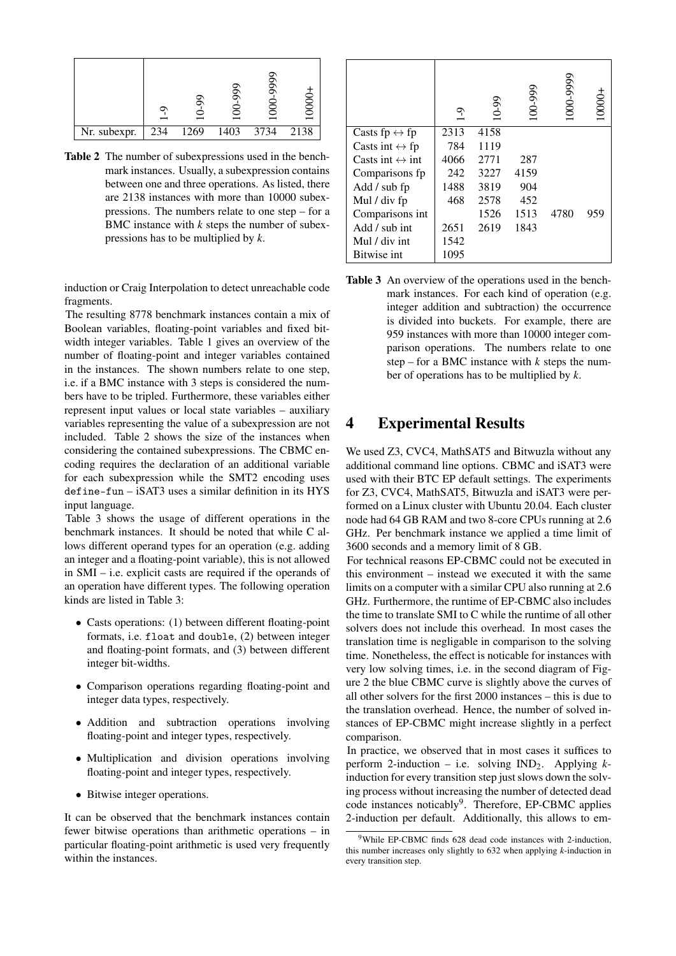|              |     |      |      | ξ<br>- |      |
|--------------|-----|------|------|--------|------|
| Nr. subexpr. | 234 | 1269 | 1403 | 3734   | 2138 |

Table 2 The number of subexpressions used in the benchmark instances. Usually, a subexpression contains between one and three operations. As listed, there are 2138 instances with more than 10000 subexpressions. The numbers relate to one step – for a BMC instance with *k* steps the number of subexpressions has to be multiplied by *k*.

induction or Craig Interpolation to detect unreachable code fragments.

The resulting 8778 benchmark instances contain a mix of Boolean variables, floating-point variables and fixed bitwidth integer variables. Table 1 gives an overview of the number of floating-point and integer variables contained in the instances. The shown numbers relate to one step, i.e. if a BMC instance with 3 steps is considered the numbers have to be tripled. Furthermore, these variables either represent input values or local state variables – auxiliary variables representing the value of a subexpression are not included. Table 2 shows the size of the instances when considering the contained subexpressions. The CBMC encoding requires the declaration of an additional variable for each subexpression while the SMT2 encoding uses define-fun – iSAT3 uses a similar definition in its HYS input language.

Table 3 shows the usage of different operations in the benchmark instances. It should be noted that while C allows different operand types for an operation (e.g. adding an integer and a floating-point variable), this is not allowed in SMI – i.e. explicit casts are required if the operands of an operation have different types. The following operation kinds are listed in Table 3:

- Casts operations: (1) between different floating-point formats, i.e. float and double, (2) between integer and floating-point formats, and (3) between different integer bit-widths.
- Comparison operations regarding floating-point and integer data types, respectively.
- Addition and subtraction operations involving floating-point and integer types, respectively.
- Multiplication and division operations involving floating-point and integer types, respectively.
- Bitwise integer operations.

It can be observed that the benchmark instances contain fewer bitwise operations than arithmetic operations – in particular floating-point arithmetic is used very frequently within the instances.

|                                 | ᠲ    | $10-99$ | 100-999 | 000-9999 | 8000 |
|---------------------------------|------|---------|---------|----------|------|
| Casts fp $\leftrightarrow$ fp   | 2313 | 4158    |         |          |      |
| Casts int $\leftrightarrow$ fp  | 784  | 1119    |         |          |      |
| Casts int $\leftrightarrow$ int | 4066 | 2771    | 287     |          |      |
| Comparisons fp                  | 242  | 3227    | 4159    |          |      |
| Add / sub fp                    | 1488 | 3819    | 904     |          |      |
| Mul / div fp                    | 468  | 2578    | 452     |          |      |
| Comparisons int                 |      | 1526    | 1513    | 4780     | 959  |
| Add / sub int                   | 2651 | 2619    | 1843    |          |      |
| Mul / div int                   | 1542 |         |         |          |      |
| Bitwise int.                    | 1095 |         |         |          |      |

Table 3 An overview of the operations used in the benchmark instances. For each kind of operation (e.g. integer addition and subtraction) the occurrence is divided into buckets. For example, there are 959 instances with more than 10000 integer comparison operations. The numbers relate to one step – for a BMC instance with *k* steps the number of operations has to be multiplied by *k*.

# 4 Experimental Results

We used Z3, CVC4, MathSAT5 and Bitwuzla without any additional command line options. CBMC and iSAT3 were used with their BTC EP default settings. The experiments for Z3, CVC4, MathSAT5, Bitwuzla and iSAT3 were performed on a Linux cluster with Ubuntu 20.04. Each cluster node had 64 GB RAM and two 8-core CPUs running at 2.6 GHz. Per benchmark instance we applied a time limit of 3600 seconds and a memory limit of 8 GB.

For technical reasons EP-CBMC could not be executed in this environment – instead we executed it with the same limits on a computer with a similar CPU also running at 2.6 GHz. Furthermore, the runtime of EP-CBMC also includes the time to translate SMI to C while the runtime of all other solvers does not include this overhead. In most cases the translation time is negligable in comparison to the solving time. Nonetheless, the effect is noticable for instances with very low solving times, i.e. in the second diagram of Figure 2 the blue CBMC curve is slightly above the curves of all other solvers for the first 2000 instances – this is due to the translation overhead. Hence, the number of solved instances of EP-CBMC might increase slightly in a perfect comparison.

In practice, we observed that in most cases it suffices to perform 2-induction – i.e. solving  $IND_2$ . Applying  $k$ induction for every transition step just slows down the solving process without increasing the number of detected dead code instances noticably<sup>9</sup>. Therefore, EP-CBMC applies 2-induction per default. Additionally, this allows to em-

<sup>&</sup>lt;sup>9</sup>While EP-CBMC finds 628 dead code instances with 2-induction, this number increases only slightly to 632 when applying *k*-induction in every transition step.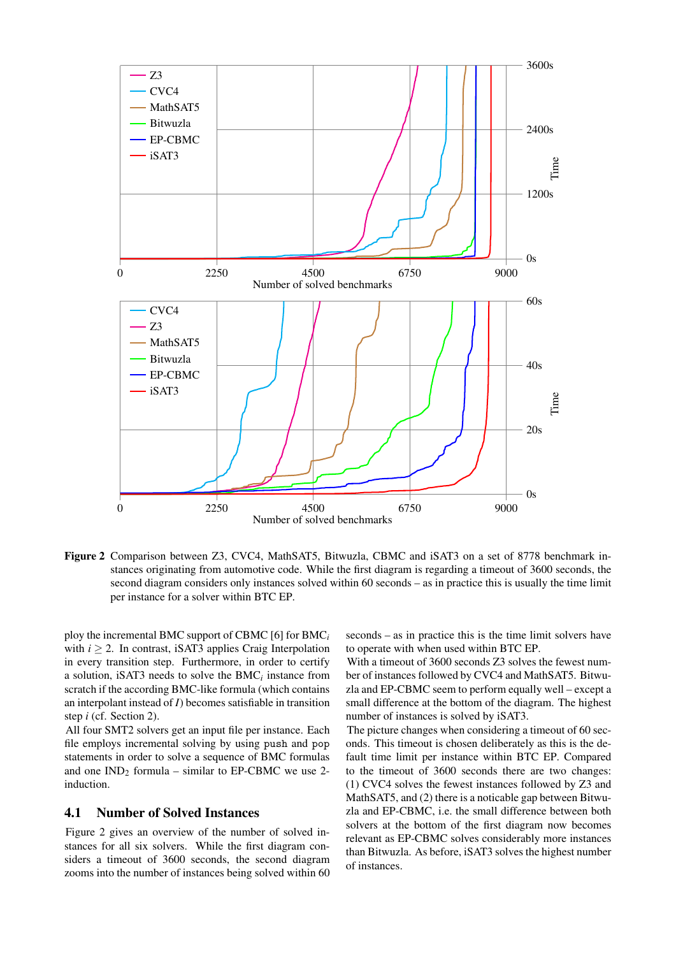

Figure 2 Comparison between Z3, CVC4, MathSAT5, Bitwuzla, CBMC and iSAT3 on a set of 8778 benchmark instances originating from automotive code. While the first diagram is regarding a timeout of 3600 seconds, the second diagram considers only instances solved within 60 seconds – as in practice this is usually the time limit per instance for a solver within BTC EP.

ploy the incremental BMC support of CBMC [6] for BMC*<sup>i</sup>* with  $i \geq 2$ . In contrast, iSAT3 applies Craig Interpolation in every transition step. Furthermore, in order to certify a solution, iSAT3 needs to solve the BMC*<sup>i</sup>* instance from scratch if the according BMC-like formula (which contains an interpolant instead of *I*) becomes satisfiable in transition step *i* (cf. Section 2).

All four SMT2 solvers get an input file per instance. Each file employs incremental solving by using push and pop statements in order to solve a sequence of BMC formulas and one  $IND_2$  formula – similar to EP-CBMC we use 2induction.

### 4.1 Number of Solved Instances

Figure 2 gives an overview of the number of solved instances for all six solvers. While the first diagram considers a timeout of 3600 seconds, the second diagram zooms into the number of instances being solved within 60

seconds – as in practice this is the time limit solvers have to operate with when used within BTC EP.

With a timeout of 3600 seconds Z3 solves the fewest number of instances followed by CVC4 and MathSAT5. Bitwuzla and EP-CBMC seem to perform equally well – except a small difference at the bottom of the diagram. The highest number of instances is solved by iSAT3.

The picture changes when considering a timeout of 60 seconds. This timeout is chosen deliberately as this is the default time limit per instance within BTC EP. Compared to the timeout of 3600 seconds there are two changes: (1) CVC4 solves the fewest instances followed by Z3 and MathSAT5, and (2) there is a noticable gap between Bitwuzla and EP-CBMC, i.e. the small difference between both solvers at the bottom of the first diagram now becomes relevant as EP-CBMC solves considerably more instances than Bitwuzla. As before, iSAT3 solves the highest number of instances.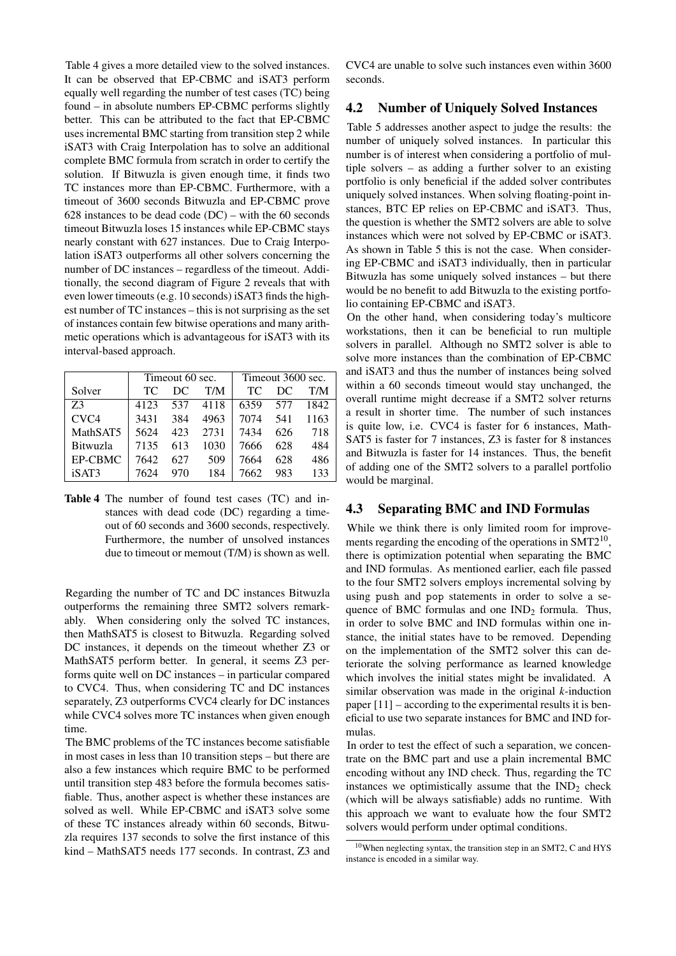Table 4 gives a more detailed view to the solved instances. It can be observed that EP-CBMC and iSAT3 perform equally well regarding the number of test cases (TC) being found – in absolute numbers EP-CBMC performs slightly better. This can be attributed to the fact that EP-CBMC uses incremental BMC starting from transition step 2 while iSAT3 with Craig Interpolation has to solve an additional complete BMC formula from scratch in order to certify the solution. If Bitwuzla is given enough time, it finds two TC instances more than EP-CBMC. Furthermore, with a timeout of 3600 seconds Bitwuzla and EP-CBMC prove 628 instances to be dead code  $(DC)$  – with the 60 seconds timeout Bitwuzla loses 15 instances while EP-CBMC stays nearly constant with 627 instances. Due to Craig Interpolation iSAT3 outperforms all other solvers concerning the number of DC instances – regardless of the timeout. Additionally, the second diagram of Figure 2 reveals that with even lower timeouts (e.g. 10 seconds) iSAT3 finds the highest number of TC instances – this is not surprising as the set of instances contain few bitwise operations and many arithmetic operations which is advantageous for iSAT3 with its interval-based approach.

|                  |      | Timeout 60 sec. |      | Timeout 3600 sec. |     |      |  |
|------------------|------|-----------------|------|-------------------|-----|------|--|
| Solver           | TC.  | DC              | T/M  | TC.               | DC  | T/M  |  |
| Z3               | 4123 | 537             | 4118 | 6359              | 577 | 1842 |  |
| CVC <sub>4</sub> | 3431 | 384             | 4963 | 7074              | 541 | 1163 |  |
| MathSAT5         | 5624 | 423             | 2731 | 7434              | 626 | 718  |  |
| <b>Bitwuzla</b>  | 7135 | 613             | 1030 | 7666              | 628 | 484  |  |
| <b>EP-CBMC</b>   | 7642 | 627             | 509  | 7664              | 628 | 486  |  |
| iSAT3            | 7624 | 970             | 184  | 7662              | 983 | 133  |  |

Table 4 The number of found test cases (TC) and instances with dead code (DC) regarding a timeout of 60 seconds and 3600 seconds, respectively. Furthermore, the number of unsolved instances due to timeout or memout (T/M) is shown as well.

Regarding the number of TC and DC instances Bitwuzla outperforms the remaining three SMT2 solvers remarkably. When considering only the solved TC instances, then MathSAT5 is closest to Bitwuzla. Regarding solved DC instances, it depends on the timeout whether Z3 or MathSAT5 perform better. In general, it seems Z3 performs quite well on DC instances – in particular compared to CVC4. Thus, when considering TC and DC instances separately, Z3 outperforms CVC4 clearly for DC instances while CVC4 solves more TC instances when given enough time.

The BMC problems of the TC instances become satisfiable in most cases in less than 10 transition steps – but there are also a few instances which require BMC to be performed until transition step 483 before the formula becomes satisfiable. Thus, another aspect is whether these instances are solved as well. While EP-CBMC and iSAT3 solve some of these TC instances already within 60 seconds, Bitwuzla requires 137 seconds to solve the first instance of this kind – MathSAT5 needs 177 seconds. In contrast, Z3 and CVC4 are unable to solve such instances even within 3600 seconds.

#### 4.2 Number of Uniquely Solved Instances

Table 5 addresses another aspect to judge the results: the number of uniquely solved instances. In particular this number is of interest when considering a portfolio of multiple solvers – as adding a further solver to an existing portfolio is only beneficial if the added solver contributes uniquely solved instances. When solving floating-point instances, BTC EP relies on EP-CBMC and iSAT3. Thus, the question is whether the SMT2 solvers are able to solve instances which were not solved by EP-CBMC or iSAT3. As shown in Table 5 this is not the case. When considering EP-CBMC and iSAT3 individually, then in particular Bitwuzla has some uniquely solved instances – but there would be no benefit to add Bitwuzla to the existing portfolio containing EP-CBMC and iSAT3.

On the other hand, when considering today's multicore workstations, then it can be beneficial to run multiple solvers in parallel. Although no SMT2 solver is able to solve more instances than the combination of EP-CBMC and iSAT3 and thus the number of instances being solved within a 60 seconds timeout would stay unchanged, the overall runtime might decrease if a SMT2 solver returns a result in shorter time. The number of such instances is quite low, i.e. CVC4 is faster for 6 instances, Math-SAT5 is faster for 7 instances, Z3 is faster for 8 instances and Bitwuzla is faster for 14 instances. Thus, the benefit of adding one of the SMT2 solvers to a parallel portfolio would be marginal.

#### 4.3 Separating BMC and IND Formulas

While we think there is only limited room for improvements regarding the encoding of the operations in SMT2<sup>10</sup>, there is optimization potential when separating the BMC and IND formulas. As mentioned earlier, each file passed to the four SMT2 solvers employs incremental solving by using push and pop statements in order to solve a sequence of BMC formulas and one  $IND_2$  formula. Thus, in order to solve BMC and IND formulas within one instance, the initial states have to be removed. Depending on the implementation of the SMT2 solver this can deteriorate the solving performance as learned knowledge which involves the initial states might be invalidated. A similar observation was made in the original *k*-induction paper [11] – according to the experimental results it is beneficial to use two separate instances for BMC and IND formulas.

In order to test the effect of such a separation, we concentrate on the BMC part and use a plain incremental BMC encoding without any IND check. Thus, regarding the TC instances we optimistically assume that the  $IND<sub>2</sub>$  check (which will be always satisfiable) adds no runtime. With this approach we want to evaluate how the four SMT2 solvers would perform under optimal conditions.

<sup>10</sup>When neglecting syntax, the transition step in an SMT2, C and HYS instance is encoded in a similar way.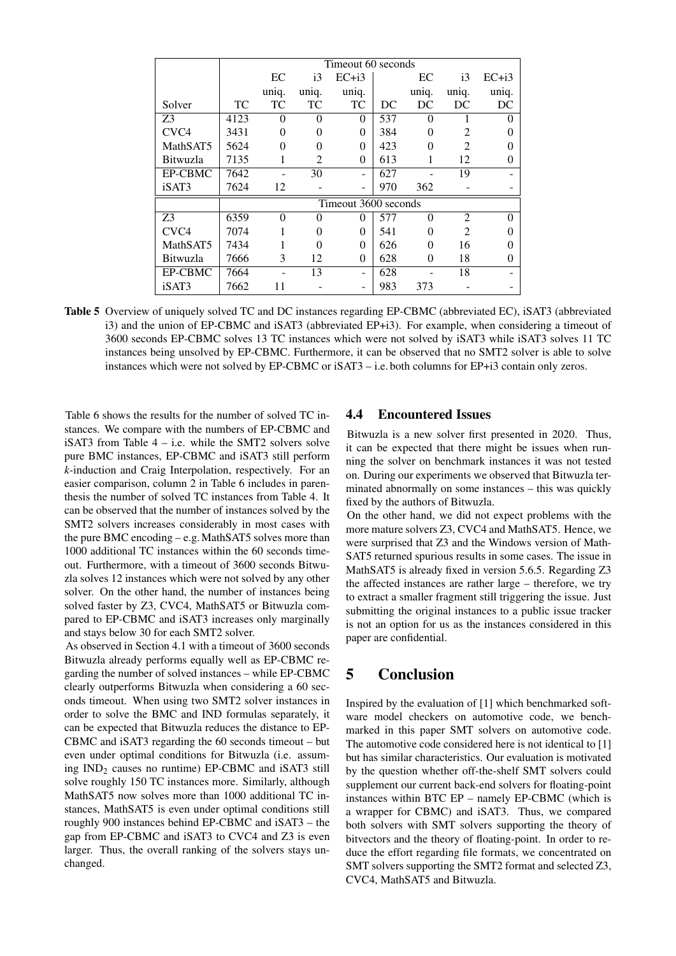|                  | Timeout 60 seconds |          |                |                      |     |          |                |                   |  |  |
|------------------|--------------------|----------|----------------|----------------------|-----|----------|----------------|-------------------|--|--|
|                  |                    | EC       | i3             | $EC+13$              |     | EC       | i3             | $EC+i3$           |  |  |
|                  |                    | uniq.    | uniq.          | uniq.                |     | uniq.    | uniq.          | uniq.             |  |  |
| Solver           | TC                 | ТC       | TC             | TC                   | DC  | DC       | DC             | DC                |  |  |
| Z3               | 4123               | $\Omega$ | 0              | $\Omega$             | 537 | $\Omega$ |                | $\Omega$          |  |  |
| CVC <sub>4</sub> | 3431               | $\Omega$ | 0              | $\Omega$             | 384 | $\Omega$ | 2              | 0                 |  |  |
| MathSAT5         | 5624               | $\Omega$ | 0              | $\Omega$             | 423 | 0        | $\overline{2}$ | $\mathbf{\Omega}$ |  |  |
| <b>Bitwuzla</b>  | 7135               |          | $\mathfrak{D}$ | $\Omega$             | 613 |          | 12             | $\Omega$          |  |  |
| <b>EP-CBMC</b>   | 7642               |          | 30             |                      | 627 |          | 19             |                   |  |  |
| iSAT3            | 7624               | 12       |                |                      | 970 | 362      |                |                   |  |  |
|                  |                    |          |                | Timeout 3600 seconds |     |          |                |                   |  |  |
| Z <sub>3</sub>   | 6359               | $\Omega$ | $\Omega$       | $\Omega$             | 577 | $\Omega$ | $\overline{2}$ | 0                 |  |  |
| CVC <sub>4</sub> | 7074               |          | 0              | 0                    | 541 | $\Omega$ | $\mathfrak{D}$ |                   |  |  |
| MathSAT5         | 7434               |          | 0              | 0                    | 626 | 0        | 16             |                   |  |  |
| <b>Bitwuzla</b>  | 7666               | 3        | 12             | $\Omega$             | 628 | $\Omega$ | 18             | $\theta$          |  |  |
| EP-CBMC          | 7664               |          | 13             |                      | 628 |          | 18             |                   |  |  |
| iSAT3            | 7662               | 11       |                |                      | 983 | 373      |                |                   |  |  |

Table 5 Overview of uniquely solved TC and DC instances regarding EP-CBMC (abbreviated EC), iSAT3 (abbreviated i3) and the union of EP-CBMC and iSAT3 (abbreviated EP+i3). For example, when considering a timeout of 3600 seconds EP-CBMC solves 13 TC instances which were not solved by iSAT3 while iSAT3 solves 11 TC instances being unsolved by EP-CBMC. Furthermore, it can be observed that no SMT2 solver is able to solve instances which were not solved by EP-CBMC or iSAT3 – i.e. both columns for EP+i3 contain only zeros.

Table 6 shows the results for the number of solved TC instances. We compare with the numbers of EP-CBMC and iSAT3 from Table  $4 - i.e.$  while the SMT2 solvers solve pure BMC instances, EP-CBMC and iSAT3 still perform *k*-induction and Craig Interpolation, respectively. For an easier comparison, column 2 in Table 6 includes in parenthesis the number of solved TC instances from Table 4. It can be observed that the number of instances solved by the SMT2 solvers increases considerably in most cases with the pure BMC encoding – e.g.MathSAT5 solves more than 1000 additional TC instances within the 60 seconds timeout. Furthermore, with a timeout of 3600 seconds Bitwuzla solves 12 instances which were not solved by any other solver. On the other hand, the number of instances being solved faster by Z3, CVC4, MathSAT5 or Bitwuzla compared to EP-CBMC and iSAT3 increases only marginally and stays below 30 for each SMT2 solver.

As observed in Section 4.1 with a timeout of 3600 seconds Bitwuzla already performs equally well as EP-CBMC regarding the number of solved instances – while EP-CBMC clearly outperforms Bitwuzla when considering a 60 seconds timeout. When using two SMT2 solver instances in order to solve the BMC and IND formulas separately, it can be expected that Bitwuzla reduces the distance to EP-CBMC and iSAT3 regarding the 60 seconds timeout – but even under optimal conditions for Bitwuzla (i.e. assuming  $IND_2$  causes no runtime) EP-CBMC and iSAT3 still solve roughly 150 TC instances more. Similarly, although MathSAT5 now solves more than 1000 additional TC instances, MathSAT5 is even under optimal conditions still roughly 900 instances behind EP-CBMC and iSAT3 – the gap from EP-CBMC and iSAT3 to CVC4 and Z3 is even larger. Thus, the overall ranking of the solvers stays unchanged.

#### 4.4 Encountered Issues

Bitwuzla is a new solver first presented in 2020. Thus, it can be expected that there might be issues when running the solver on benchmark instances it was not tested on. During our experiments we observed that Bitwuzla terminated abnormally on some instances – this was quickly fixed by the authors of Bitwuzla.

On the other hand, we did not expect problems with the more mature solvers Z3, CVC4 and MathSAT5. Hence, we were surprised that Z3 and the Windows version of Math-SAT5 returned spurious results in some cases. The issue in MathSAT5 is already fixed in version 5.6.5. Regarding Z3 the affected instances are rather large – therefore, we try to extract a smaller fragment still triggering the issue. Just submitting the original instances to a public issue tracker is not an option for us as the instances considered in this paper are confidential.

# 5 Conclusion

Inspired by the evaluation of [1] which benchmarked software model checkers on automotive code, we benchmarked in this paper SMT solvers on automotive code. The automotive code considered here is not identical to [1] but has similar characteristics. Our evaluation is motivated by the question whether off-the-shelf SMT solvers could supplement our current back-end solvers for floating-point instances within BTC EP – namely EP-CBMC (which is a wrapper for CBMC) and iSAT3. Thus, we compared both solvers with SMT solvers supporting the theory of bitvectors and the theory of floating-point. In order to reduce the effort regarding file formats, we concentrated on SMT solvers supporting the SMT2 format and selected Z3, CVC4, MathSAT5 and Bitwuzla.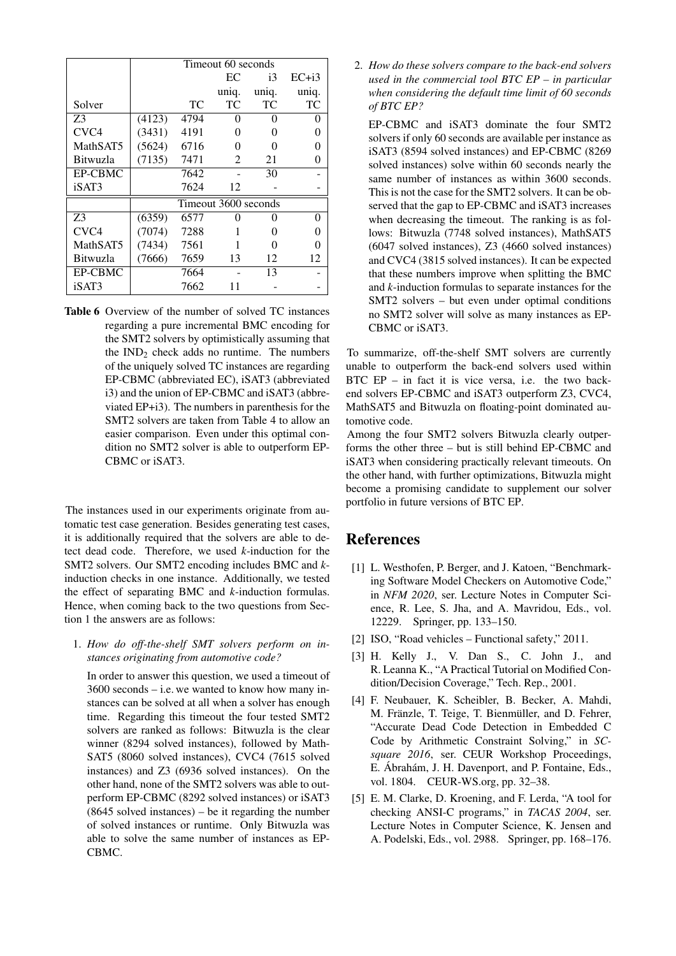|                  | Timeout 60 seconds |      |                      |                   |                   |  |  |  |  |
|------------------|--------------------|------|----------------------|-------------------|-------------------|--|--|--|--|
|                  |                    |      | ЕC                   | i3                | $EC+13$           |  |  |  |  |
|                  |                    |      | uniq.                | uniq.             | uniq.             |  |  |  |  |
| Solver           |                    | TC   | ТC                   | ТC                | TC                |  |  |  |  |
| Z3               | (4123)             | 4794 | 0                    | 0                 | 0                 |  |  |  |  |
| CVC <sub>4</sub> | (3431)             | 4191 | 0                    |                   | $\mathbf{\Omega}$ |  |  |  |  |
| MathSAT5         | (5624)             | 6716 | 0                    |                   | ∩                 |  |  |  |  |
| Bitwuzla         | (7135)             | 7471 | 2                    | 21                | $\mathbf{\Omega}$ |  |  |  |  |
| <b>EP-CBMC</b>   |                    | 7642 |                      | 30                |                   |  |  |  |  |
| iSAT3            |                    | 7624 | 12                   |                   |                   |  |  |  |  |
|                  |                    |      | Timeout 3600 seconds |                   |                   |  |  |  |  |
| Z3               | (6359)             | 6577 | 0                    | $\mathbf{\Omega}$ | 0                 |  |  |  |  |
| CVC <sub>4</sub> | (7074)             | 7288 |                      |                   | $\mathbf{\Omega}$ |  |  |  |  |
| MathSAT5         | (7434)             | 7561 |                      | $\mathbf{\Omega}$ |                   |  |  |  |  |
| <b>Bitwuzla</b>  | (7666)             | 7659 | 13                   | 12                | 12                |  |  |  |  |
| <b>EP-CBMC</b>   |                    | 7664 |                      | 13                |                   |  |  |  |  |
| iSAT3            |                    | 7662 |                      |                   |                   |  |  |  |  |

Table 6 Overview of the number of solved TC instances regarding a pure incremental BMC encoding for the SMT2 solvers by optimistically assuming that the  $IND<sub>2</sub>$  check adds no runtime. The numbers of the uniquely solved TC instances are regarding EP-CBMC (abbreviated EC), iSAT3 (abbreviated i3) and the union of EP-CBMC and iSAT3 (abbreviated EP+i3). The numbers in parenthesis for the SMT2 solvers are taken from Table 4 to allow an easier comparison. Even under this optimal condition no SMT2 solver is able to outperform EP-CBMC or iSAT3.

The instances used in our experiments originate from automatic test case generation. Besides generating test cases, it is additionally required that the solvers are able to detect dead code. Therefore, we used *k*-induction for the SMT2 solvers. Our SMT2 encoding includes BMC and *k*induction checks in one instance. Additionally, we tested the effect of separating BMC and *k*-induction formulas. Hence, when coming back to the two questions from Section 1 the answers are as follows:

1. *How do off-the-shelf SMT solvers perform on instances originating from automotive code?*

In order to answer this question, we used a timeout of 3600 seconds – i.e. we wanted to know how many instances can be solved at all when a solver has enough time. Regarding this timeout the four tested SMT2 solvers are ranked as follows: Bitwuzla is the clear winner (8294 solved instances), followed by Math-SAT5 (8060 solved instances), CVC4 (7615 solved instances) and Z3 (6936 solved instances). On the other hand, none of the SMT2 solvers was able to outperform EP-CBMC (8292 solved instances) or iSAT3 (8645 solved instances) – be it regarding the number of solved instances or runtime. Only Bitwuzla was able to solve the same number of instances as EP-CBMC.

2. *How do these solvers compare to the back-end solvers used in the commercial tool BTC EP – in particular when considering the default time limit of 60 seconds of BTC EP?*

EP-CBMC and iSAT3 dominate the four SMT2 solvers if only 60 seconds are available per instance as iSAT3 (8594 solved instances) and EP-CBMC (8269 solved instances) solve within 60 seconds nearly the same number of instances as within 3600 seconds. This is not the case for the SMT2 solvers. It can be observed that the gap to EP-CBMC and iSAT3 increases when decreasing the timeout. The ranking is as follows: Bitwuzla (7748 solved instances), MathSAT5 (6047 solved instances), Z3 (4660 solved instances) and CVC4 (3815 solved instances). It can be expected that these numbers improve when splitting the BMC and *k*-induction formulas to separate instances for the SMT2 solvers – but even under optimal conditions no SMT2 solver will solve as many instances as EP-CBMC or iSAT3.

To summarize, off-the-shelf SMT solvers are currently unable to outperform the back-end solvers used within BTC EP – in fact it is vice versa, i.e. the two backend solvers EP-CBMC and iSAT3 outperform Z3, CVC4, MathSAT5 and Bitwuzla on floating-point dominated automotive code.

Among the four SMT2 solvers Bitwuzla clearly outperforms the other three – but is still behind EP-CBMC and iSAT3 when considering practically relevant timeouts. On the other hand, with further optimizations, Bitwuzla might become a promising candidate to supplement our solver portfolio in future versions of BTC EP.

## References

- [1] L. Westhofen, P. Berger, and J. Katoen, "Benchmarking Software Model Checkers on Automotive Code," in *NFM 2020*, ser. Lecture Notes in Computer Science, R. Lee, S. Jha, and A. Mavridou, Eds., vol. 12229. Springer, pp. 133–150.
- [2] ISO, "Road vehicles Functional safety," 2011.
- [3] H. Kelly J., V. Dan S., C. John J., and R. Leanna K., "A Practical Tutorial on Modified Condition/Decision Coverage," Tech. Rep., 2001.
- [4] F. Neubauer, K. Scheibler, B. Becker, A. Mahdi, M. Fränzle, T. Teige, T. Bienmüller, and D. Fehrer, "Accurate Dead Code Detection in Embedded C Code by Arithmetic Constraint Solving," in *SCsquare 2016*, ser. CEUR Workshop Proceedings, E. Ábrahám, J. H. Davenport, and P. Fontaine, Eds., vol. 1804. CEUR-WS.org, pp. 32–38.
- [5] E. M. Clarke, D. Kroening, and F. Lerda, "A tool for checking ANSI-C programs," in *TACAS 2004*, ser. Lecture Notes in Computer Science, K. Jensen and A. Podelski, Eds., vol. 2988. Springer, pp. 168–176.